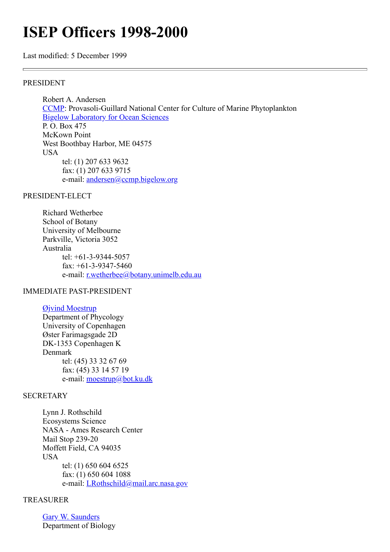# **ISEP Officers 1998-2000**

Last modified: 5 December 1999

### PRESIDENT

Robert A. Andersen [CCMP](http://ccmp.bigelow.org/): Provasoli-Guillard National Center for Culture of Marine Phytoplankton **[Bigelow Laboratory for Ocean Sciences](http://www.bigelow.org/)** P. O. Box 475 McKown Point West Boothbay Harbor, ME 04575 USA tel: (1) 207 633 9632 fax: (1) 207 633 9715 e-mail: [andersen@ccmp.bigelow.org](mailto:andersen@ccmp.bigelow.org)

### PRESIDENT-ELECT

Richard Wetherbee School of Botany University of Melbourne Parkville, Victoria 3052 Australia tel: +61-3-9344-5057 fax: +61-3-9347-5460 e-mail: [r.wetherbee@botany.unimelb.edu.au](mailto:r.wetherbee@botany.unimelb.edu.au)

## IMMEDIATE PAST-PRESIDENT

[Øjvind Moestrup](http://www.bot.ku.dk/staff/moestrup.htm) Department of Phycology University of Copenhagen Øster Farimagsgade 2D DK-1353 Copenhagen K Denmark tel: (45) 33 32 67 69 fax: (45) 33 14 57 19 e-mail: [moestrup@bot.ku.dk](mailto:moestrup@bot.ku.dk)

## **SECRETARY**

Lynn J. Rothschild Ecosystems Science NASA - Ames Research Center Mail Stop 239-20 Moffett Field, CA 94035 **I**ISA tel: (1) 650 604 6525 fax: (1) 650 604 1088 e-mail: [LRothschild@mail.arc.nasa.gov](http://megasun.bch.umontreal.ca/isep/LRothschild@mail.arc.nasa.gov)

# TREASURER

[Gary W. Saunders](http://www.unb.ca/web/biology/Faculty/Saunders.html) Department of Biology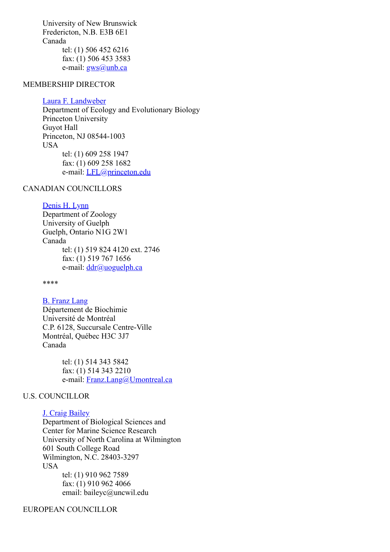University of New Brunswick Fredericton, N.B. E3B 6E1 Canada tel: (1) 506 452 6216 fax: (1) 506 453 3583 e-mail: [gws@unb.ca](http://megasun.bch.umontreal.ca/isep/gws@unb.ca)

### MEMBERSHIP DIRECTOR

#### [Laura F. Landweber](http://www.eeb.princeton.edu/NextLevel/Graduate.html/Profs%20/landweber.html)

Department of Ecology and Evolutionary Biology Princeton University Guyot Hall Princeton, NJ 08544-1003 USA tel: (1) 609 258 1947 fax: (1) 609 258 1682 e-mail: *LFL*@princeton.edu

## CANADIAN COUNCILLORS

# [Denis H. Lynn](http://www.uoguelph.ca/zoology/lynn.htm)

Department of Zoology University of Guelph Guelph, Ontario N1G 2W1 Canada tel: (1) 519 824 4120 ext. 2746 fax: (1) 519 767 1656 e-mail: [ddr@uoguelph.ca](mailto:ddr@uoguelph.ca)

\*\*\*\*

# [B. Franz Lang](http://megasun.bch.umontreal.ca/People/lang/)

Département de Biochimie Université de Montréal C.P. 6128, Succursale Centre-Ville Montréal, Québec H3C 3J7 Canada

> tel: (1) 514 343 5842 fax: (1) 514 343 2210 e-mail: [Franz.Lang@Umontreal.ca](mailto:langf@bch.umontreal.ca)

#### U.S. COUNCILLOR

## [J. Craig Bailey](http://www.uncwil.edu/bio/cbail.htm)

Department of Biological Sciences and Center for Marine Science Research University of North Carolina at Wilmington 601 South College Road Wilmington, N.C. 28403-3297 USA tel: (1) 910 962 7589 fax: (1) 910 962 4066 email: baileyc@uncwil.edu

EUROPEAN COUNCILLOR